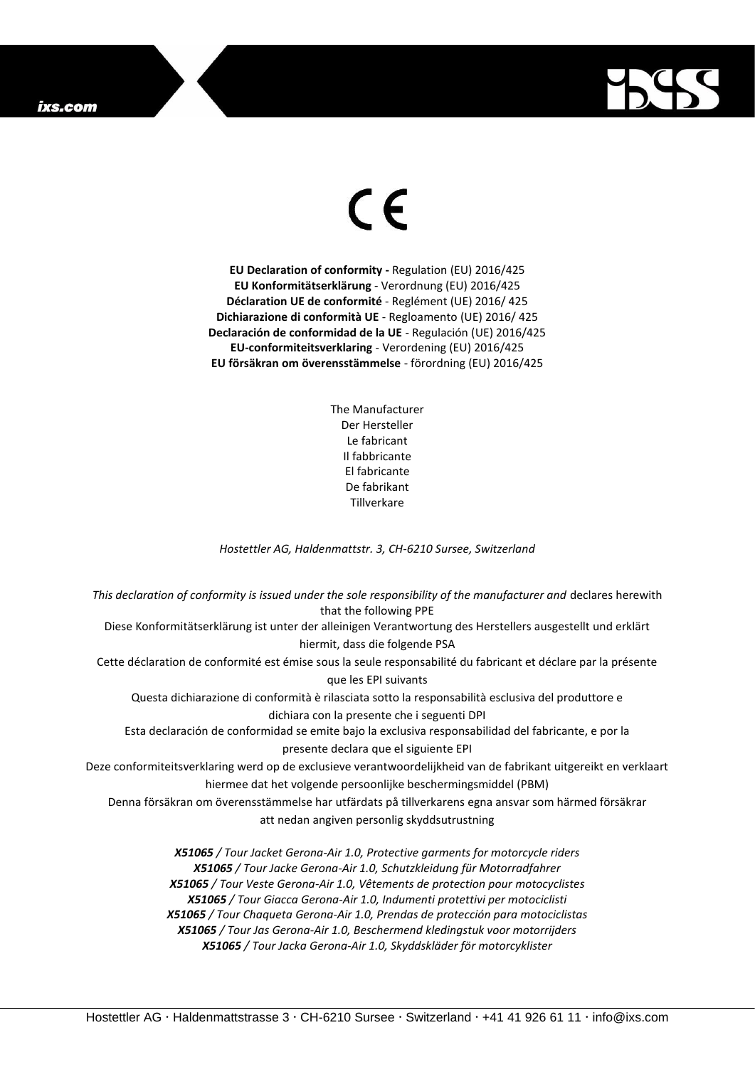## ixs.com



## $\epsilon$

**EU Declaration of conformity -** Regulation (EU) 2016/425 **EU Konformitätserklärung** - Verordnung (EU) 2016/425 **Déclaration UE de conformité** - Reglément (UE) 2016/ 425 **Dichiarazione di conformità UE** - Regloamento (UE) 2016/ 425 **Declaración de conformidad de la UE** - Regulación (UE) 2016/425 **EU-conformiteitsverklaring** - Verordening (EU) 2016/425 **EU försäkran om överensstämmelse** - förordning (EU) 2016/425

> The Manufacturer Der Hersteller Le fabricant Il fabbricante El fabricante De fabrikant **Tillverkare**

*Hostettler AG, Haldenmattstr. 3, CH-6210 Sursee, Switzerland*

*This declaration of conformity is issued under the sole responsibility of the manufacturer and* declares herewith that the following PPE Diese Konformitätserklärung ist unter der alleinigen Verantwortung des Herstellers ausgestellt und erklärt hiermit, dass die folgende PSA Cette déclaration de conformité est émise sous la seule responsabilité du fabricant et déclare par la présente que les EPI suivants Questa dichiarazione di conformità è rilasciata sotto la responsabilità esclusiva del produttore e dichiara con la presente che i seguenti DPI Esta declaración de conformidad se emite bajo la exclusiva responsabilidad del fabricante, e por la presente declara que el siguiente EPI Deze conformiteitsverklaring werd op de exclusieve verantwoordelijkheid van de fabrikant uitgereikt en verklaart hiermee dat het volgende persoonlijke beschermingsmiddel (PBM) Denna försäkran om överensstämmelse har utfärdats på tillverkarens egna ansvar som härmed försäkrar att nedan angiven personlig skyddsutrustning *X51065 / Tour Jacket Gerona-Air 1.0, Protective garments for motorcycle riders X51065 / Tour Jacke Gerona-Air 1.0, Schutzkleidung für Motorradfahrer X51065 / Tour Veste Gerona-Air 1.0, Vêtements de protection pour motocyclistes X51065 / Tour Giacca Gerona-Air 1.0, Indumenti protettivi per motociclisti*

*X51065 / Tour Chaqueta Gerona-Air 1.0, Prendas de protección para motociclistas*

*X51065 / Tour Jas Gerona-Air 1.0, Beschermend kledingstuk voor motorrijders X51065 / Tour Jacka Gerona-Air 1.0, Skyddskläder för motorcyklister*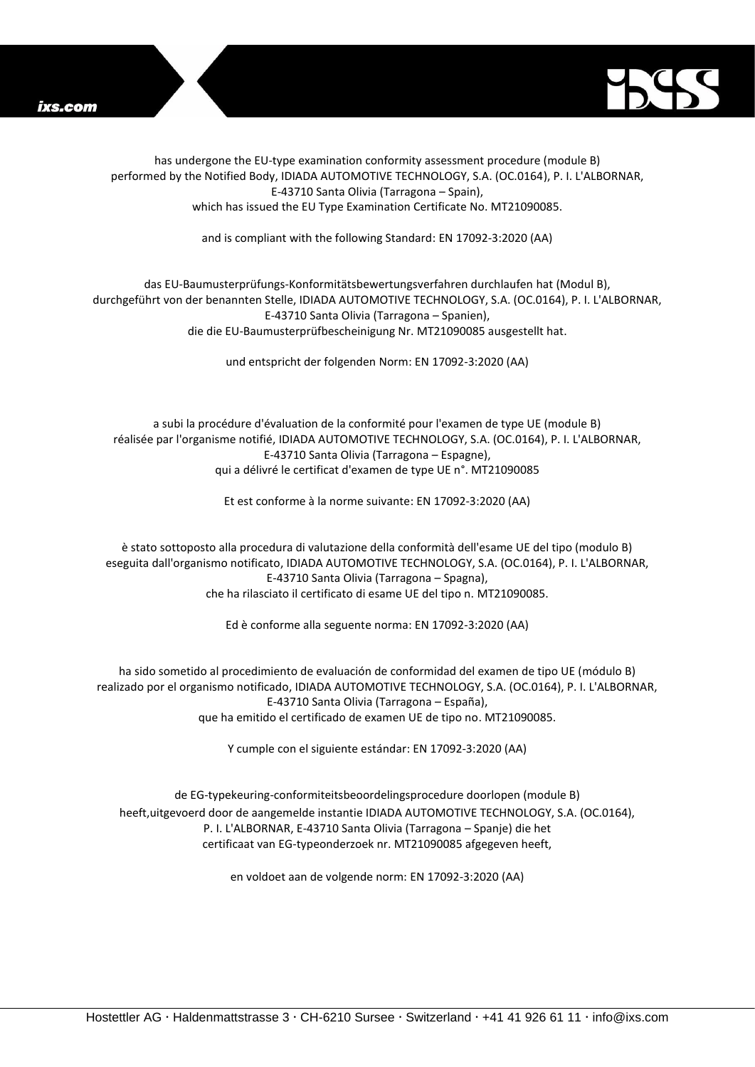



has undergone the EU-type examination conformity assessment procedure (module B) performed by the Notified Body, IDIADA AUTOMOTIVE TECHNOLOGY, S.A. (OC.0164), P. I. L'ALBORNAR, E-43710 Santa Olivia (Tarragona – Spain), which has issued the EU Type Examination Certificate No. MT21090085.

and is compliant with the following Standard: EN 17092-3:2020 (AA)

## das EU-Baumusterprüfungs-Konformitätsbewertungsverfahren durchlaufen hat (Modul B), durchgeführt von der benannten Stelle, IDIADA AUTOMOTIVE TECHNOLOGY, S.A. (OC.0164), P. I. L'ALBORNAR, E-43710 Santa Olivia (Tarragona – Spanien), die die EU-Baumusterprüfbescheinigung Nr. MT21090085 ausgestellt hat.

und entspricht der folgenden Norm: EN 17092-3:2020 (AA)

a subi la procédure d'évaluation de la conformité pour l'examen de type UE (module B) réalisée par l'organisme notifié, IDIADA AUTOMOTIVE TECHNOLOGY, S.A. (OC.0164), P. I. L'ALBORNAR, E-43710 Santa Olivia (Tarragona – Espagne), qui a délivré le certificat d'examen de type UE n°. MT21090085

Et est conforme à la norme suivante: EN 17092-3:2020 (AA)

è stato sottoposto alla procedura di valutazione della conformità dell'esame UE del tipo (modulo B) eseguita dall'organismo notificato, IDIADA AUTOMOTIVE TECHNOLOGY, S.A. (OC.0164), P. I. L'ALBORNAR, E-43710 Santa Olivia (Tarragona – Spagna), che ha rilasciato il certificato di esame UE del tipo n. MT21090085.

Ed è conforme alla seguente norma: EN 17092-3:2020 (AA)

ha sido sometido al procedimiento de evaluación de conformidad del examen de tipo UE (módulo B) realizado por el organismo notificado, IDIADA AUTOMOTIVE TECHNOLOGY, S.A. (OC.0164), P. I. L'ALBORNAR, E-43710 Santa Olivia (Tarragona – España), que ha emitido el certificado de examen UE de tipo no. MT21090085.

Y cumple con el siguiente estándar: EN 17092-3:2020 (AA)

de EG-typekeuring-conformiteitsbeoordelingsprocedure doorlopen (module B) heeft,uitgevoerd door de aangemelde instantie IDIADA AUTOMOTIVE TECHNOLOGY, S.A. (OC.0164), P. I. L'ALBORNAR, E-43710 Santa Olivia (Tarragona – Spanje) die het certificaat van EG-typeonderzoek nr. MT21090085 afgegeven heeft,

en voldoet aan de volgende norm: EN 17092-3:2020 (AA)